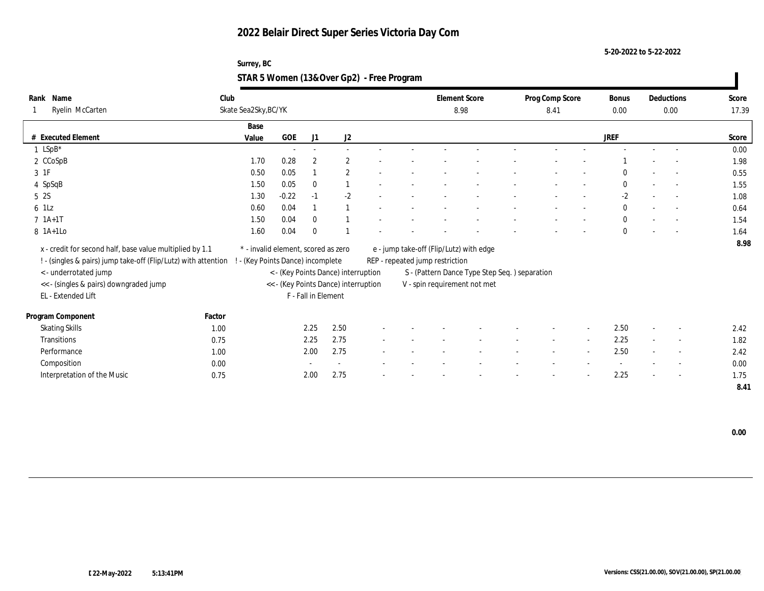**5-20-2022 to 5-22-2022**

## **Surrey, BC STAR 5 Women (13&Over Gp2) - Free Program**

| Name<br>Rank                                                                                     | Club   |                                     |         |                     |                                      |  |                                 | <b>Element Score</b>                          | Prog Comp Score |                          | Bonus        |        | Deductions               | Score |
|--------------------------------------------------------------------------------------------------|--------|-------------------------------------|---------|---------------------|--------------------------------------|--|---------------------------------|-----------------------------------------------|-----------------|--------------------------|--------------|--------|--------------------------|-------|
| Ryelin McCarten                                                                                  |        | Skate Sea2Sky, BC/YK                |         |                     |                                      |  |                                 | 8.98                                          | 8.41            |                          | 0.00         |        | 0.00                     | 17.39 |
|                                                                                                  |        | Base                                |         |                     |                                      |  |                                 |                                               |                 |                          |              |        |                          |       |
| # Executed Element                                                                               |        | Value                               | GOE     | J1                  | J2                                   |  |                                 |                                               |                 |                          | <b>JREF</b>  |        |                          | Score |
| $1$ LSpB*                                                                                        |        |                                     | $\sim$  | $\sim$              | $\sim$                               |  |                                 |                                               |                 |                          |              |        |                          | 0.00  |
| 2 CCoSpB                                                                                         |        | 1.70                                | 0.28    | $\overline{2}$      | $\overline{2}$                       |  |                                 |                                               |                 |                          |              |        | $\sim$                   | 1.98  |
| 3 1F                                                                                             |        | 0.50                                | 0.05    |                     | $\overline{2}$                       |  |                                 |                                               |                 |                          | $\Omega$     |        |                          | 0.55  |
| 4 SpSqB                                                                                          |        | 1.50                                | 0.05    | $\mathbf{0}$        |                                      |  |                                 |                                               |                 |                          | $\mathbf{0}$ |        | $\sim$                   | 1.55  |
| 5 2S                                                                                             |        | 1.30                                | $-0.22$ | $-1$                | $-2$                                 |  |                                 |                                               |                 |                          | $-2$         |        | $\overline{\phantom{a}}$ | 1.08  |
| 6 1Lz                                                                                            |        | 0.60                                | 0.04    |                     |                                      |  |                                 |                                               |                 |                          | $\mathbf{0}$ |        | $\sim$                   | 0.64  |
| $7 \; 1A+1T$                                                                                     |        | 1.50                                | 0.04    | $\mathbf{0}$        |                                      |  |                                 |                                               |                 |                          | $\mathbf{0}$ |        |                          | 1.54  |
| 8 1A+1Lo                                                                                         |        | 1.60                                | 0.04    | $\mathbf{0}$        |                                      |  |                                 |                                               |                 |                          | $\mathbf{0}$ |        |                          | 1.64  |
| x - credit for second half, base value multiplied by 1.1                                         |        | * - invalid element, scored as zero |         |                     |                                      |  |                                 | e - jump take-off (Flip/Lutz) with edge       |                 |                          |              |        |                          | 8.98  |
| ! - (singles & pairs) jump take-off (Flip/Lutz) with attention ! - (Key Points Dance) incomplete |        |                                     |         |                     |                                      |  | REP - repeated jump restriction |                                               |                 |                          |              |        |                          |       |
| < - underrotated jump                                                                            |        |                                     |         |                     | < - (Key Points Dance) interruption  |  |                                 | S - (Pattern Dance Type Step Seq.) separation |                 |                          |              |        |                          |       |
| << - (singles & pairs) downgraded jump                                                           |        |                                     |         |                     | << - (Key Points Dance) interruption |  |                                 | V - spin requirement not met                  |                 |                          |              |        |                          |       |
| EL - Extended Lift                                                                               |        |                                     |         | F - Fall in Element |                                      |  |                                 |                                               |                 |                          |              |        |                          |       |
| Program Component                                                                                | Factor |                                     |         |                     |                                      |  |                                 |                                               |                 |                          |              |        |                          |       |
| <b>Skating Skills</b>                                                                            | 1.00   |                                     |         | 2.25                | 2.50                                 |  |                                 |                                               |                 |                          | 2.50         |        | $\overline{\phantom{a}}$ | 2.42  |
| <b>Transitions</b>                                                                               | 0.75   |                                     |         | 2.25                | 2.75                                 |  |                                 |                                               | $\sim$          | $\sim$                   | 2.25         | $\sim$ | $\sim$                   | 1.82  |
| Performance                                                                                      | 1.00   |                                     |         | 2.00                | 2.75                                 |  |                                 |                                               |                 | $\overline{\phantom{a}}$ | 2.50         |        | $\overline{\phantom{a}}$ | 2.42  |
| Composition                                                                                      | 0.00   |                                     |         |                     |                                      |  |                                 |                                               |                 |                          |              |        | $\sim$                   | 0.00  |
| Interpretation of the Music                                                                      | 0.75   |                                     |         | 2.00                | 2.75                                 |  |                                 |                                               |                 |                          | 2.25         |        | $\overline{\phantom{a}}$ | 1.75  |
|                                                                                                  |        |                                     |         |                     |                                      |  |                                 |                                               |                 |                          |              |        |                          | 8.41  |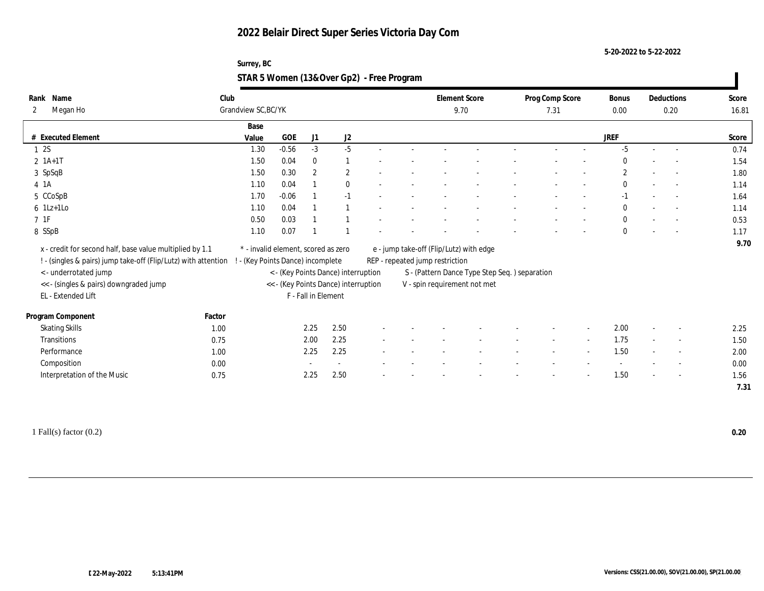**5-20-2022 to 5-22-2022**

## **Surrey, BC STAR 5 Women (13&Over Gp2) - Free Program**

| Rank Name<br>Megan Ho<br>2                                     | Club   | Grandview SC, BC/YK                 |           |                     |                                      |  |                                 | <b>Element Score</b><br>9.70                   | Prog Comp Score<br>7.31 |        | Bonus<br>0.00 | Deductions<br>0.20       | Score<br>16.81 |
|----------------------------------------------------------------|--------|-------------------------------------|-----------|---------------------|--------------------------------------|--|---------------------------------|------------------------------------------------|-------------------------|--------|---------------|--------------------------|----------------|
|                                                                |        | Base                                |           |                     |                                      |  |                                 |                                                |                         |        |               |                          |                |
| # Executed Element                                             |        | Value                               | $\rm GOE$ | J1                  | $\mathrm{J}2$                        |  |                                 |                                                |                         |        | <b>JREF</b>   |                          | Score          |
| 12S                                                            |        | 1.30                                | $-0.56$   | $-3$                | $-5$                                 |  |                                 |                                                |                         |        | $-5$          |                          | 0.74           |
| $2 \; 1A+1T$                                                   |        | 1.50                                | 0.04      | $\bf{0}$            |                                      |  |                                 |                                                |                         |        | $\bf{0}$      |                          | 1.54           |
| 3 SpSqB                                                        |        | 1.50                                | 0.30      | $\boldsymbol{2}$    | $\mathbf{2}$                         |  |                                 |                                                |                         |        | $\mathbf{2}$  |                          | 1.80           |
| 4 1 A                                                          |        | 1.10                                | 0.04      |                     | $\mathbf{0}$                         |  |                                 |                                                |                         |        | $\mathbf{0}$  |                          | 1.14           |
| 5 CCoSpB                                                       |        | 1.70                                | $-0.06$   |                     | $-1$                                 |  |                                 |                                                |                         |        | $-1$          | $\overline{\phantom{a}}$ | 1.64           |
| $6$ 1Lz+1Lo                                                    |        | 1.10                                | 0.04      |                     |                                      |  |                                 |                                                |                         |        | $\mathbf{0}$  | $\sim$                   | 1.14           |
| $7$ 1F                                                         |        | 0.50                                | 0.03      |                     |                                      |  |                                 |                                                |                         |        | $\bf{0}$      |                          | 0.53           |
| 8 SSpB                                                         |        | 1.10                                | 0.07      |                     |                                      |  |                                 |                                                |                         |        | $\mathbf{0}$  |                          | 1.17           |
| x - credit for second half, base value multiplied by 1.1       |        | * - invalid element, scored as zero |           |                     |                                      |  |                                 | e - jump take-off (Flip/Lutz) with edge        |                         |        |               |                          | 9.70           |
| ! - (singles & pairs) jump take-off (Flip/Lutz) with attention |        | ! - (Key Points Dance) incomplete   |           |                     |                                      |  | REP - repeated jump restriction |                                                |                         |        |               |                          |                |
| <- underrotated jump                                           |        |                                     |           |                     | < - (Key Points Dance) interruption  |  |                                 | S - (Pattern Dance Type Step Seq. ) separation |                         |        |               |                          |                |
| << - (singles & pairs) downgraded jump                         |        |                                     |           |                     | << - (Key Points Dance) interruption |  |                                 | V - spin requirement not met                   |                         |        |               |                          |                |
| EL - Extended Lift                                             |        |                                     |           | F - Fall in Element |                                      |  |                                 |                                                |                         |        |               |                          |                |
|                                                                |        |                                     |           |                     |                                      |  |                                 |                                                |                         |        |               |                          |                |
| Program Component                                              | Factor |                                     |           |                     |                                      |  |                                 |                                                |                         |        |               |                          |                |
| <b>Skating Skills</b>                                          | 1.00   |                                     |           | 2.25                | 2.50                                 |  |                                 |                                                |                         |        | 2.00          | $\overline{\phantom{a}}$ | 2.25           |
| Transitions                                                    | 0.75   |                                     |           | 2.00                | 2.25                                 |  |                                 |                                                |                         | $\sim$ | 1.75          | $\overline{\phantom{a}}$ | 1.50           |
| Performance                                                    | 1.00   |                                     |           | 2.25                | 2.25                                 |  |                                 |                                                |                         |        | 1.50          |                          | 2.00           |
| Composition                                                    | 0.00   |                                     |           |                     | $\sim$                               |  |                                 |                                                |                         |        |               | $\sim$                   | 0.00           |
| Interpretation of the Music                                    | 0.75   |                                     |           | 2.25                | 2.50                                 |  |                                 |                                                |                         |        | 1.50          | $\sim$                   | 1.56           |
|                                                                |        |                                     |           |                     |                                      |  |                                 |                                                |                         |        |               |                          | 7.31           |

1 Fall(s) factor (0.2) **0.20**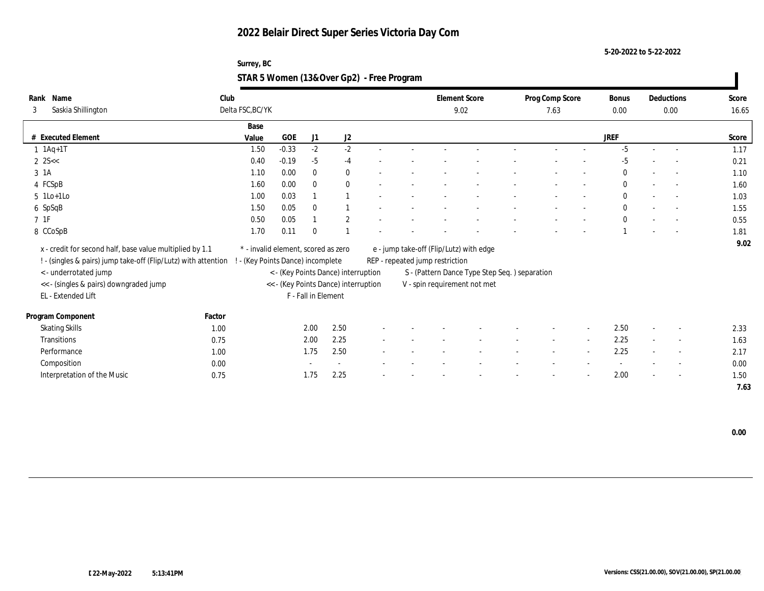**5-20-2022 to 5-22-2022**

## **Surrey, BC STAR 5 Women (13&Over Gp2) - Free Program**

| Name<br>Rank                | Club                                                           |                                     |            |                     |                                      |  |                                 | <b>Element Score</b>                           | Prog Comp Score |        | Bonus        |                          | Deductions               | Score |
|-----------------------------|----------------------------------------------------------------|-------------------------------------|------------|---------------------|--------------------------------------|--|---------------------------------|------------------------------------------------|-----------------|--------|--------------|--------------------------|--------------------------|-------|
| Saskia Shillington<br>3     |                                                                | Delta FSC, BC/YK                    |            |                     |                                      |  |                                 | 9.02                                           | 7.63            |        | 0.00         |                          | 0.00                     | 16.65 |
|                             |                                                                | Base                                |            |                     |                                      |  |                                 |                                                |                 |        |              |                          |                          |       |
| # Executed Element          |                                                                | Value                               | <b>GOE</b> | J1                  | J2                                   |  |                                 |                                                |                 |        | <b>JREF</b>  |                          |                          | Score |
| $1$ $1Aq+1T$                |                                                                | 1.50                                | $-0.33$    | $-2$                | $-2$                                 |  |                                 |                                                |                 |        | $-5$         | $\sim$                   | $\sim$                   | 1.17  |
| $2 \, 25 <$                 |                                                                | 0.40                                | $-0.19$    | $-5$                | $-4$                                 |  |                                 |                                                |                 |        | $-5$         |                          |                          | 0.21  |
| 3 1A                        |                                                                | 1.10                                | 0.00       | $\mathbf{0}$        | $\bf{0}$                             |  |                                 |                                                |                 |        | $\Omega$     |                          |                          | 1.10  |
| 4 FCSpB                     |                                                                | 1.60                                | 0.00       | $\bf{0}$            | $\bf{0}$                             |  |                                 |                                                |                 |        | $\mathbf{0}$ |                          | $\sim$                   | 1.60  |
| $5$ 1Lo+1Lo                 |                                                                | 1.00                                | 0.03       |                     |                                      |  |                                 |                                                |                 |        | $\mathbf{0}$ |                          | $\sim$                   | 1.03  |
| 6 SpSqB                     |                                                                | 1.50                                | 0.05       | $\mathbf{0}$        |                                      |  |                                 |                                                |                 |        | $\mathbf{0}$ |                          | $\sim$                   | 1.55  |
| $7\;\;1\mathrm{F}$          |                                                                | 0.50                                | 0.05       |                     | $\boldsymbol{2}$                     |  |                                 |                                                |                 |        | $\mathbf{0}$ |                          |                          | 0.55  |
| 8 CCoSpB                    |                                                                | 1.70                                | 0.11       | $\Omega$            |                                      |  |                                 |                                                |                 |        |              |                          |                          | 1.81  |
|                             | x - credit for second half, base value multiplied by 1.1       | * - invalid element, scored as zero |            |                     |                                      |  |                                 |                                                |                 |        |              |                          |                          | 9.02  |
|                             |                                                                |                                     |            |                     |                                      |  |                                 | e - jump take-off (Flip/Lutz) with edge        |                 |        |              |                          |                          |       |
|                             | ! - (singles & pairs) jump take-off (Flip/Lutz) with attention | ! - (Key Points Dance) incomplete   |            |                     |                                      |  | REP - repeated jump restriction |                                                |                 |        |              |                          |                          |       |
| < - underrotated jump       |                                                                |                                     |            |                     | < - (Key Points Dance) interruption  |  |                                 | S - (Pattern Dance Type Step Seq. ) separation |                 |        |              |                          |                          |       |
| EL - Extended Lift          | << - (singles & pairs) downgraded jump                         |                                     |            | F - Fall in Element | << - (Key Points Dance) interruption |  |                                 | V - spin requirement not met                   |                 |        |              |                          |                          |       |
|                             |                                                                |                                     |            |                     |                                      |  |                                 |                                                |                 |        |              |                          |                          |       |
| Program Component           | Factor                                                         |                                     |            |                     |                                      |  |                                 |                                                |                 |        |              |                          |                          |       |
| <b>Skating Skills</b>       | 1.00                                                           |                                     |            | 2.00                | 2.50                                 |  |                                 |                                                |                 |        | 2.50         | $\overline{\phantom{a}}$ | $\overline{\phantom{a}}$ | 2.33  |
| Transitions                 | 0.75                                                           |                                     |            | 2.00                | 2.25                                 |  |                                 |                                                | $\sim$          | $\sim$ | 2.25         | $\sim$                   | $\sim$                   | 1.63  |
| Performance                 | 1.00                                                           |                                     |            | 1.75                | 2.50                                 |  |                                 |                                                |                 |        | 2.25         |                          | $\overline{\phantom{a}}$ | 2.17  |
| Composition                 | 0.00                                                           |                                     |            |                     |                                      |  |                                 |                                                |                 |        |              |                          | $\overline{\phantom{a}}$ | 0.00  |
| Interpretation of the Music | 0.75                                                           |                                     |            | 1.75                | 2.25                                 |  |                                 |                                                |                 |        | 2.00         |                          | $\sim$                   | 1.50  |
|                             |                                                                |                                     |            |                     |                                      |  |                                 |                                                |                 |        |              |                          |                          | 7.63  |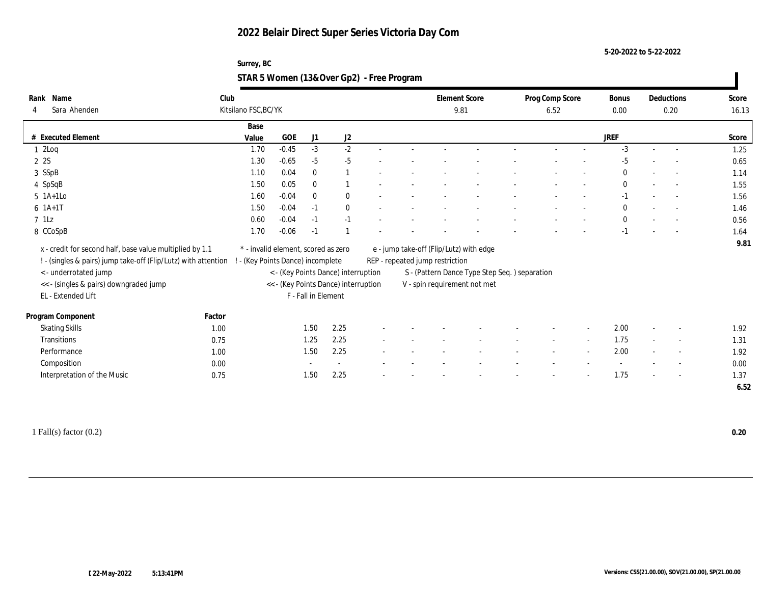**5-20-2022 to 5-22-2022**

## **Surrey, BC STAR 5 Women (13&Over Gp2) - Free Program**

| Name<br>Rank                                                                                     | Club   |                                     |         |                     |                                      |        | <b>Element Score</b>            |                                               | Prog Comp Score |                | Bonus        |        | Deductions               | Score |
|--------------------------------------------------------------------------------------------------|--------|-------------------------------------|---------|---------------------|--------------------------------------|--------|---------------------------------|-----------------------------------------------|-----------------|----------------|--------------|--------|--------------------------|-------|
| Sara Ahenden<br>4                                                                                |        | Kitsilano FSC, BC/YK                |         |                     |                                      |        | 9.81                            |                                               | 6.52            |                | $0.00\,$     |        | 0.20                     | 16.13 |
|                                                                                                  |        | Base                                |         |                     |                                      |        |                                 |                                               |                 |                |              |        |                          |       |
| # Executed Element                                                                               |        | Value                               | GOE     | J1                  | J2                                   |        |                                 |                                               |                 |                | <b>JREF</b>  |        |                          | Score |
| 12Log                                                                                            |        | 1.70                                | $-0.45$ | $-3$                | $-2$                                 |        |                                 |                                               |                 |                | $-3$         |        | $\sim$                   | 1.25  |
| 2 2S                                                                                             |        | 1.30                                | $-0.65$ | $-5$                | $-5$                                 |        |                                 |                                               |                 |                | $-5$         |        |                          | 0.65  |
| 3 SSpB                                                                                           |        | 1.10                                | 0.04    | $\mathbf{0}$        | $\overline{1}$                       |        |                                 |                                               |                 |                | $\bf{0}$     |        |                          | 1.14  |
| 4 SpSqB                                                                                          |        | 1.50                                | 0.05    | $\mathbf{0}$        |                                      |        |                                 |                                               |                 |                | $\mathbf{0}$ |        | $\overline{\phantom{a}}$ | 1.55  |
| 5 1A+1Lo                                                                                         |        | 1.60                                | $-0.04$ | $\mathbf{0}$        | $\bf{0}$                             |        |                                 |                                               |                 |                | $-1$         |        | $\sim$                   | 1.56  |
| $6 \; 1A+1T$                                                                                     |        | 1.50                                | $-0.04$ | $-1$                | $\mathbf{0}$                         |        |                                 |                                               |                 |                | $\mathbf{0}$ |        | $\sim$                   | 1.46  |
| $7$ 1Lz                                                                                          |        | 0.60                                | $-0.04$ | $-1$                | $-1$                                 |        |                                 |                                               |                 |                | $\mathbf{0}$ |        |                          | 0.56  |
| 8 CCoSpB                                                                                         |        | 1.70                                | $-0.06$ | $-1$                |                                      |        |                                 |                                               |                 |                | $-1$         |        |                          | 1.64  |
| x - credit for second half, base value multiplied by 1.1                                         |        | * - invalid element, scored as zero |         |                     |                                      |        |                                 | e - jump take-off (Flip/Lutz) with edge       |                 |                |              |        |                          | 9.81  |
| ! - (singles & pairs) jump take-off (Flip/Lutz) with attention ! - (Key Points Dance) incomplete |        |                                     |         |                     |                                      |        | REP - repeated jump restriction |                                               |                 |                |              |        |                          |       |
| < - underrotated jump                                                                            |        |                                     |         |                     | < - (Key Points Dance) interruption  |        |                                 | S - (Pattern Dance Type Step Seq.) separation |                 |                |              |        |                          |       |
| << - (singles & pairs) downgraded jump                                                           |        |                                     |         |                     | << - (Key Points Dance) interruption |        |                                 | V - spin requirement not met                  |                 |                |              |        |                          |       |
| EL - Extended Lift                                                                               |        |                                     |         | F - Fall in Element |                                      |        |                                 |                                               |                 |                |              |        |                          |       |
| Program Component                                                                                | Factor |                                     |         |                     |                                      |        |                                 |                                               |                 |                |              |        |                          |       |
| <b>Skating Skills</b>                                                                            | 1.00   |                                     |         | 1.50                | 2.25                                 |        |                                 |                                               |                 |                | 2.00         |        | $\sim$                   | 1.92  |
| <b>Transitions</b>                                                                               | 0.75   |                                     |         | 1.25                | 2.25                                 | $\sim$ |                                 |                                               | $\sim$          | $\sim$         | 1.75         | $\sim$ | $\sim$                   | 1.31  |
| Performance                                                                                      |        |                                     |         | 1.50                | 2.25                                 |        |                                 |                                               |                 | $\overline{a}$ | 2.00         |        | $\sim$                   | 1.92  |
| Composition                                                                                      | 1.00   |                                     |         |                     | $\sim$                               |        |                                 |                                               |                 |                |              |        | $\overline{\phantom{a}}$ | 0.00  |
|                                                                                                  | 0.00   |                                     |         | 1.50                | 2.25                                 |        |                                 |                                               |                 |                | 1.75         |        |                          | 1.37  |
| Interpretation of the Music                                                                      | 0.75   |                                     |         |                     |                                      |        |                                 |                                               |                 |                |              |        | $\overline{\phantom{a}}$ |       |
|                                                                                                  |        |                                     |         |                     |                                      |        |                                 |                                               |                 |                |              |        |                          | 6.52  |

1 Fall(s) factor (0.2) **0.20**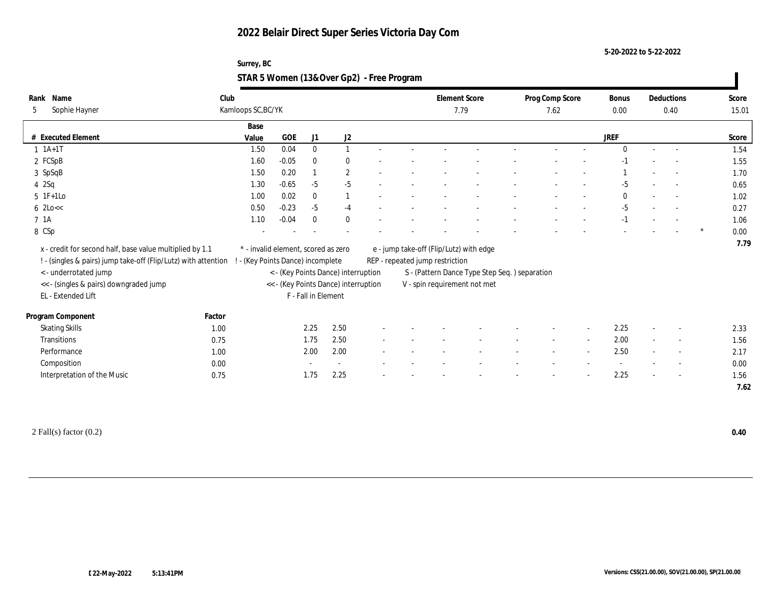**5-20-2022 to 5-22-2022**

## **Surrey, BC STAR 5 Women (13&Over Gp2) - Free Program**

| Name<br>Rank                                                                                     | Club   |                                     |         |                     |                                      |        | <b>Element Score</b>            |                                               | Prog Comp Score |                | Bonus       |        | Deductions               | Score |
|--------------------------------------------------------------------------------------------------|--------|-------------------------------------|---------|---------------------|--------------------------------------|--------|---------------------------------|-----------------------------------------------|-----------------|----------------|-------------|--------|--------------------------|-------|
| Sophie Hayner<br>5                                                                               |        | Kamloops SC, BC/YK                  |         |                     |                                      |        |                                 | 7.79                                          | 7.62            |                | $0.00\,$    |        | 0.40                     | 15.01 |
|                                                                                                  |        | Base                                |         |                     |                                      |        |                                 |                                               |                 |                |             |        |                          |       |
| # Executed Element                                                                               |        | Value                               | GOE     | J1                  | J2                                   |        |                                 |                                               |                 |                | <b>JREF</b> |        |                          | Score |
| $1 \t1A+1T$                                                                                      |        | 1.50                                | 0.04    | $\mathbf{0}$        | 1                                    |        |                                 |                                               |                 |                | $\theta$    |        | $\sim$                   | 1.54  |
| 2 FCSpB                                                                                          |        | 1.60                                | $-0.05$ | $\mathbf{0}$        | $\mathbf{0}$                         |        |                                 |                                               |                 |                |             |        |                          | 1.55  |
| 3 SpSqB                                                                                          |        | 1.50                                | 0.20    |                     | $\boldsymbol{2}$                     |        |                                 |                                               |                 |                |             |        |                          | 1.70  |
| $4\quad2$ Sq                                                                                     |        | 1.30                                | $-0.65$ | $-5$                | $-5$                                 |        |                                 |                                               |                 |                | $-5$        |        |                          | 0.65  |
| $5 \t1F+1Lo$                                                                                     |        | 1.00                                | 0.02    | $\bf{0}$            | $\overline{1}$                       |        |                                 |                                               |                 |                | $\Omega$    |        | $\sim$                   | 1.02  |
| $6 \text{ } 2 \text{Lo} <<$                                                                      |        | 0.50                                | $-0.23$ | $-5$                | $-4$                                 |        |                                 |                                               |                 |                | $-5$        |        | $\sim$                   | 0.27  |
| 7 1A                                                                                             |        | 1.10                                | $-0.04$ | $\mathbf{0}$        | $\bf{0}$                             |        |                                 |                                               |                 |                | $-1$        |        |                          | 1.06  |
| 8 CSp                                                                                            |        |                                     |         |                     |                                      |        |                                 |                                               |                 |                |             |        |                          | 0.00  |
| x - credit for second half, base value multiplied by 1.1                                         |        | * - invalid element, scored as zero |         |                     |                                      |        |                                 | e - jump take-off (Flip/Lutz) with edge       |                 |                |             |        |                          | 7.79  |
| ! - (singles & pairs) jump take-off (Flip/Lutz) with attention ! - (Key Points Dance) incomplete |        |                                     |         |                     |                                      |        | REP - repeated jump restriction |                                               |                 |                |             |        |                          |       |
| < - underrotated jump                                                                            |        |                                     |         |                     | < - (Key Points Dance) interruption  |        |                                 | S - (Pattern Dance Type Step Seq.) separation |                 |                |             |        |                          |       |
| << - (singles & pairs) downgraded jump                                                           |        |                                     |         |                     | << - (Key Points Dance) interruption |        |                                 | V - spin requirement not met                  |                 |                |             |        |                          |       |
| EL - Extended Lift                                                                               |        |                                     |         | F - Fall in Element |                                      |        |                                 |                                               |                 |                |             |        |                          |       |
| Program Component                                                                                | Factor |                                     |         |                     |                                      |        |                                 |                                               |                 |                |             |        |                          |       |
| <b>Skating Skills</b>                                                                            | 1.00   |                                     |         | 2.25                | 2.50                                 |        |                                 |                                               |                 |                | 2.25        |        | $\sim$                   | 2.33  |
| <b>Transitions</b>                                                                               | 0.75   |                                     |         | 1.75                | 2.50                                 | $\sim$ |                                 |                                               | $\sim$          | $\sim$         | 2.00        | $\sim$ | $\sim$                   | 1.56  |
| Performance                                                                                      | 1.00   |                                     |         | 2.00                | 2.00                                 |        |                                 |                                               |                 | $\overline{a}$ | 2.50        |        | $\overline{\phantom{a}}$ | 2.17  |
| Composition                                                                                      | 0.00   |                                     |         |                     |                                      |        |                                 |                                               |                 |                |             |        | $\overline{\phantom{a}}$ | 0.00  |
| Interpretation of the Music                                                                      | 0.75   |                                     |         | 1.75                | 2.25                                 |        |                                 |                                               |                 |                | 2.25        |        | $\overline{\phantom{a}}$ | 1.56  |
|                                                                                                  |        |                                     |         |                     |                                      |        |                                 |                                               |                 |                |             |        |                          | 7.62  |

2 Fall(s) factor (0.2) **0.40**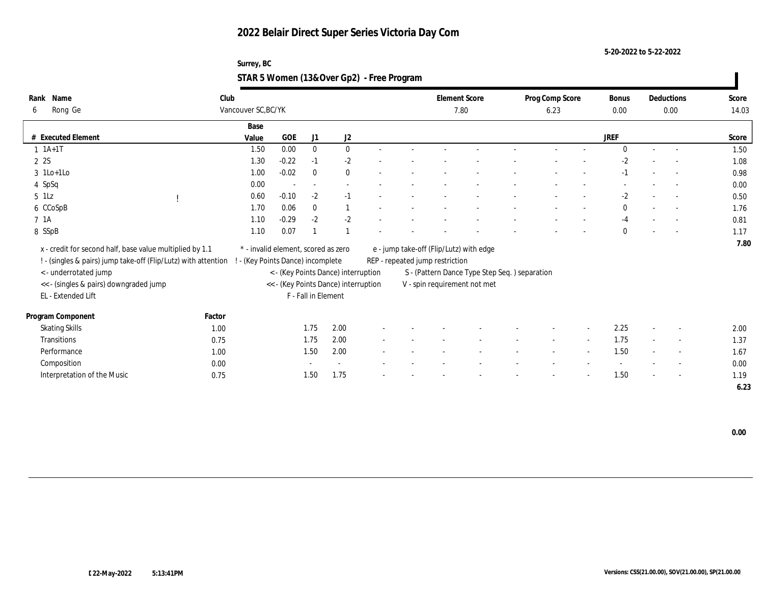**5-20-2022 to 5-22-2022**

## **Surrey, BC STAR 5 Women (13&Over Gp2) - Free Program**

| Name<br>Rank                                                     | Club   |                                     |                                 |                     |                                      |        |                                 | <b>Element Score</b>                           | Prog Comp Score |        | Bonus        |        | Deductions               | Score |
|------------------------------------------------------------------|--------|-------------------------------------|---------------------------------|---------------------|--------------------------------------|--------|---------------------------------|------------------------------------------------|-----------------|--------|--------------|--------|--------------------------|-------|
| Rong Ge<br>6                                                     |        | Vancouver SC, BC/YK                 |                                 |                     |                                      |        |                                 | 7.80                                           | 6.23            |        | 0.00         |        | 0.00                     | 14.03 |
|                                                                  |        | Base                                |                                 |                     |                                      |        |                                 |                                                |                 |        |              |        |                          |       |
| # Executed Element                                               |        | Value                               | <b>GOE</b>                      | J1                  | J2                                   |        |                                 |                                                |                 |        | <b>JREF</b>  |        |                          | Score |
| $1 \t1A+1T$                                                      |        | 1.50                                | 0.00                            | $\bf{0}$            | $\bf{0}$                             | $\sim$ |                                 |                                                |                 |        | $\Omega$     | $\sim$ | $\sim$                   | 1.50  |
| 2 2S                                                             |        | 1.30                                | $-0.22$                         | $-1$                | $-2$                                 |        |                                 |                                                |                 |        | $-2$         |        | $\overline{\phantom{a}}$ | 1.08  |
| $3$ 1Lo+1Lo                                                      |        | 1.00                                | $-0.02$                         | $\mathbf{0}$        | $\bf{0}$                             |        |                                 |                                                |                 |        | $-1$         |        | $\overline{\phantom{a}}$ | 0.98  |
| 4 SpSq                                                           |        | 0.00                                | $\overline{\phantom{a}}$        | $\sim$              |                                      |        |                                 |                                                |                 |        |              |        | $\sim$                   | 0.00  |
| $5$ 1Lz                                                          |        | 0.60                                | $-0.10$                         | $-2$                | $-1$                                 |        |                                 |                                                |                 |        | $-2$         |        | $\sim$                   | 0.50  |
| 6 CCoSpB                                                         |        | 1.70                                | 0.06                            | $\mathbf{0}$        |                                      |        |                                 |                                                |                 |        | $\mathbf{0}$ |        | $\overline{\phantom{a}}$ | 1.76  |
| 7 1A                                                             |        | 1.10                                | $-0.29$                         | $-2$                | $-2$                                 |        |                                 |                                                |                 |        | $-4$         |        | $\overline{\phantom{a}}$ | 0.81  |
| 8 SSpB                                                           |        | 1.10                                | 0.07                            |                     |                                      |        |                                 |                                                |                 |        | $\Omega$     |        | $\overline{\phantom{a}}$ | 1.17  |
| x - credit for second half, base value multiplied by 1.1         |        | * - invalid element, scored as zero |                                 |                     |                                      |        |                                 | e - jump take-off (Flip/Lutz) with edge        |                 |        |              |        |                          | 7.80  |
| ! - (singles & pairs) jump take-off (Flip/Lutz) with attention ! |        |                                     | - (Key Points Dance) incomplete |                     |                                      |        | REP - repeated jump restriction |                                                |                 |        |              |        |                          |       |
| <- underrotated jump                                             |        |                                     |                                 |                     | < - (Key Points Dance) interruption  |        |                                 | S - (Pattern Dance Type Step Seq. ) separation |                 |        |              |        |                          |       |
| << - (singles & pairs) downgraded jump                           |        |                                     |                                 |                     | << - (Key Points Dance) interruption |        |                                 | V - spin requirement not met                   |                 |        |              |        |                          |       |
| EL - Extended Lift                                               |        |                                     |                                 | F - Fall in Element |                                      |        |                                 |                                                |                 |        |              |        |                          |       |
|                                                                  | Factor |                                     |                                 |                     |                                      |        |                                 |                                                |                 |        |              |        |                          |       |
| Program Component                                                |        |                                     |                                 | 1.75                | 2.00                                 |        |                                 |                                                |                 |        | 2.25         |        |                          |       |
| <b>Skating Skills</b>                                            | 1.00   |                                     |                                 |                     |                                      |        |                                 |                                                |                 |        |              |        |                          | 2.00  |
| Transitions                                                      | 0.75   |                                     |                                 | 1.75                | 2.00                                 |        |                                 |                                                |                 | $\sim$ | 1.75         |        | $\overline{\phantom{a}}$ | 1.37  |
| Performance                                                      | 1.00   |                                     |                                 | 1.50                | 2.00                                 |        |                                 |                                                |                 |        | 1.50         |        |                          | 1.67  |
| Composition                                                      | 0.00   |                                     |                                 |                     |                                      |        |                                 |                                                |                 |        |              |        | $\overline{\phantom{0}}$ | 0.00  |
| Interpretation of the Music                                      | 0.75   |                                     |                                 | 1.50                | 1.75                                 |        |                                 |                                                |                 |        | 1.50         |        | $\overline{\phantom{0}}$ | 1.19  |
|                                                                  |        |                                     |                                 |                     |                                      |        |                                 |                                                |                 |        |              |        |                          | 6.23  |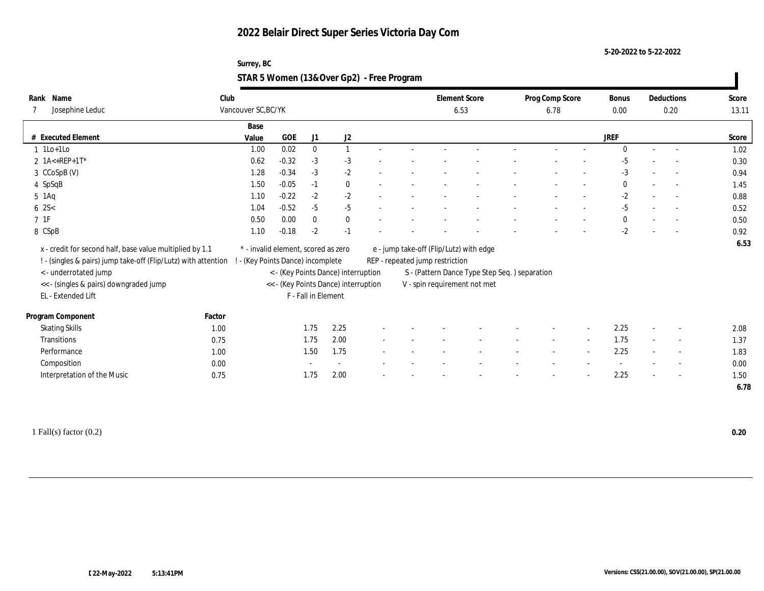**5-20-2022 to 5-22-2022**

## **Surrey, BC STAR 5 Women (13&Over Gp2) - Free Program**

| Rank Name                                                      | Club   |                                     |            |                     |                                      |  |                                 | <b>Element Score</b>                           | Prog Comp Score |        | <b>Bonus</b> |        | Deductions               | Score |
|----------------------------------------------------------------|--------|-------------------------------------|------------|---------------------|--------------------------------------|--|---------------------------------|------------------------------------------------|-----------------|--------|--------------|--------|--------------------------|-------|
| Josephine Leduc                                                |        | Vancouver SC, BC/YK                 |            |                     |                                      |  |                                 | 6.53                                           | 6.78            |        | 0.00         |        | 0.20                     | 13.11 |
|                                                                |        | Base                                |            |                     |                                      |  |                                 |                                                |                 |        |              |        |                          |       |
| # Executed Element                                             |        | Value                               | <b>GOE</b> | J1                  | J2                                   |  |                                 |                                                |                 |        | <b>JREF</b>  |        |                          | Score |
| $1$ 1Lo+1Lo                                                    |        | 1.00                                | 0.02       | $\bf{0}$            | $\mathbf{1}$                         |  |                                 |                                                |                 |        | $\Omega$     | $\sim$ |                          | 1.02  |
| 2 1A<+REP+1T*                                                  |        | 0.62                                | $-0.32$    | $-3$                | $-3$                                 |  |                                 |                                                |                 |        | $-5$         |        |                          | 0.30  |
| 3 CCoSpB (V)                                                   |        | 1.28                                | $-0.34$    | $-3$                | $-2$                                 |  |                                 |                                                |                 |        | -3           |        |                          | 0.94  |
| 4 SpSqB                                                        |        | 1.50                                | $-0.05$    | $-1$                | $\bf{0}$                             |  |                                 |                                                |                 |        | $\bf{0}$     |        | $\sim$                   | 1.45  |
| $5$ 1Aq                                                        |        | 1.10                                | $-0.22$    | $-2$                | $-2$                                 |  |                                 |                                                |                 |        | $-2$         |        | $\sim$                   | 0.88  |
| $6 \, 2S <$                                                    |        | 1.04                                | $-0.52$    | $-5$                | $-5$                                 |  |                                 |                                                |                 |        | $-5$         |        |                          | 0.52  |
| $7\;\;1\mathrm{F}$                                             |        | 0.50                                | 0.00       | $\bf{0}$            | $\bf{0}$                             |  |                                 |                                                |                 |        | $\bf{0}$     |        |                          | 0.50  |
| 8 CSpB                                                         |        | 1.10                                | $-0.18$    | $-2$                | $-1$                                 |  |                                 |                                                |                 |        | $-2$         |        |                          | 0.92  |
| x - credit for second half, base value multiplied by 1.1       |        | * - invalid element, scored as zero |            |                     |                                      |  |                                 | e - jump take-off (Flip/Lutz) with edge        |                 |        |              |        |                          | 6.53  |
| ! - (singles & pairs) jump take-off (Flip/Lutz) with attention |        | - (Key Points Dance) incomplete     |            |                     |                                      |  | REP - repeated jump restriction |                                                |                 |        |              |        |                          |       |
| <- underrotated jump                                           |        |                                     |            |                     | < - (Key Points Dance) interruption  |  |                                 | S - (Pattern Dance Type Step Seq. ) separation |                 |        |              |        |                          |       |
| << - (singles & pairs) downgraded jump                         |        |                                     |            |                     | << - (Key Points Dance) interruption |  |                                 | V - spin requirement not met                   |                 |        |              |        |                          |       |
| EL - Extended Lift                                             |        |                                     |            | F - Fall in Element |                                      |  |                                 |                                                |                 |        |              |        |                          |       |
|                                                                |        |                                     |            |                     |                                      |  |                                 |                                                |                 |        |              |        |                          |       |
| Program Component                                              | Factor |                                     |            |                     |                                      |  |                                 |                                                |                 |        |              |        |                          |       |
| <b>Skating Skills</b>                                          | 1.00   |                                     |            | 1.75                | 2.25                                 |  |                                 |                                                |                 |        | 2.25         |        | $\sim$                   | 2.08  |
| Transitions                                                    | 0.75   |                                     |            | 1.75                | 2.00                                 |  |                                 |                                                | $\sim$          | $\sim$ | 1.75         | $\sim$ | $\sim$                   | 1.37  |
| Performance                                                    | 1.00   |                                     |            | 1.50                | 1.75                                 |  |                                 |                                                |                 | $\sim$ | 2.25         |        | $\overline{\phantom{a}}$ | 1.83  |
| Composition                                                    | 0.00   |                                     |            |                     |                                      |  |                                 |                                                |                 |        |              |        | $\sim$                   | 0.00  |
| Interpretation of the Music                                    | 0.75   |                                     |            | 1.75                | 2.00                                 |  |                                 |                                                |                 |        | 2.25         |        | $\overline{\phantom{a}}$ | 1.50  |
|                                                                |        |                                     |            |                     |                                      |  |                                 |                                                |                 |        |              |        |                          | 6.78  |

1 Fall(s) factor (0.2) **0.20**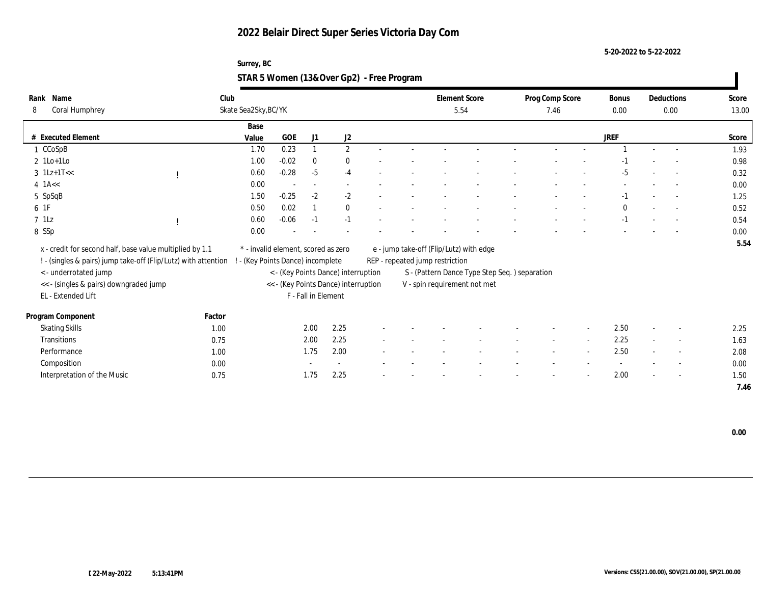**5-20-2022 to 5-22-2022**

## **Surrey, BC STAR 5 Women (13&Over Gp2) - Free Program**

| Rank      | Name                                                           | Club                 |                                     |                     |                                      |                          |                                 | <b>Element Score</b>                          | Prog Comp Score |        | <b>Bonus</b> |        | Deductions               | Score |
|-----------|----------------------------------------------------------------|----------------------|-------------------------------------|---------------------|--------------------------------------|--------------------------|---------------------------------|-----------------------------------------------|-----------------|--------|--------------|--------|--------------------------|-------|
| 8         | Coral Humphrey                                                 | Skate Sea2Sky, BC/YK |                                     |                     |                                      |                          |                                 | 5.54                                          | 7.46            |        | 0.00         |        | 0.00                     | 13.00 |
|           |                                                                | Base                 |                                     |                     |                                      |                          |                                 |                                               |                 |        |              |        |                          |       |
|           | # Executed Element                                             | Value                | GOE                                 | J1                  | J2                                   |                          |                                 |                                               |                 |        | <b>JREF</b>  |        |                          | Score |
|           | 1 CCoSpB                                                       | 1.70                 | 0.23                                | $\mathbf{1}$        | $\mathbf{2}$                         | $\sim$                   |                                 |                                               |                 |        |              |        | $\overline{a}$           | 1.93  |
|           | $2$ 1Lo+1Lo                                                    | 1.00                 | $-0.02$                             | $\bf{0}$            | $\bf{0}$                             |                          |                                 |                                               |                 |        | -1           |        | $\overline{\phantom{a}}$ | 0.98  |
|           | $3 \text{ } 1Lz+1T<<$                                          | 0.60                 | $-0.28$                             | $-5$                | $-4$                                 |                          |                                 |                                               |                 |        | $-5$         |        |                          | 0.32  |
| $4$ 1A << |                                                                | 0.00                 |                                     | $\sim$              |                                      |                          |                                 |                                               |                 |        |              |        | $\overline{a}$           | 0.00  |
|           | 5 SpSqB                                                        | 1.50                 | $-0.25$                             | $-2$                | $-2$                                 |                          |                                 |                                               |                 |        | $-1$         |        | $\overline{\phantom{a}}$ | 1.25  |
| 6 1F      |                                                                | 0.50                 | 0.02                                | $\mathbf{1}$        | $\bf{0}$                             |                          |                                 |                                               |                 |        | $\mathbf{0}$ |        | $\overline{\phantom{a}}$ | 0.52  |
| $7$ 1Lz   |                                                                | 0.60                 | $-0.06$                             | $-1$                | $-1$                                 |                          |                                 |                                               |                 |        | $-1$         |        |                          | 0.54  |
| 8 SSp     |                                                                | 0.00                 |                                     |                     |                                      |                          |                                 |                                               |                 |        |              |        |                          | 0.00  |
|           | x - credit for second half, base value multiplied by 1.1       |                      | * - invalid element, scored as zero |                     |                                      |                          |                                 | e - jump take-off (Flip/Lutz) with edge       |                 |        |              |        |                          | 5.54  |
|           | ! - (singles & pairs) jump take-off (Flip/Lutz) with attention |                      | - (Key Points Dance) incomplete     |                     |                                      |                          | REP - repeated jump restriction |                                               |                 |        |              |        |                          |       |
|           | <- underrotated jump                                           |                      |                                     |                     | < - (Key Points Dance) interruption  |                          |                                 | S - (Pattern Dance Type Step Seq.) separation |                 |        |              |        |                          |       |
|           | << - (singles & pairs) downgraded jump                         |                      |                                     |                     | << - (Key Points Dance) interruption |                          |                                 | V - spin requirement not met                  |                 |        |              |        |                          |       |
|           | EL - Extended Lift                                             |                      |                                     | F - Fall in Element |                                      |                          |                                 |                                               |                 |        |              |        |                          |       |
|           |                                                                |                      |                                     |                     |                                      |                          |                                 |                                               |                 |        |              |        |                          |       |
|           | Program Component                                              | Factor               |                                     |                     |                                      |                          |                                 |                                               |                 |        |              |        |                          |       |
|           | <b>Skating Skills</b>                                          | 1.00                 |                                     | 2.00                | 2.25                                 |                          |                                 |                                               |                 |        | 2.50         |        | $\overline{\phantom{a}}$ | 2.25  |
|           | Transitions                                                    | 0.75                 |                                     | 2.00                | 2.25                                 | $\overline{\phantom{a}}$ |                                 |                                               | $\sim$          | $\sim$ | 2.25         | $\sim$ | $\sim$                   | 1.63  |
|           | Performance                                                    | 1.00                 |                                     | 1.75                | 2.00                                 |                          |                                 |                                               |                 |        | 2.50         |        | $\overline{\phantom{a}}$ | 2.08  |
|           | Composition                                                    | 0.00                 |                                     |                     |                                      |                          |                                 |                                               |                 |        |              |        | $\overline{\phantom{a}}$ | 0.00  |
|           | Interpretation of the Music                                    | 0.75                 |                                     | 1.75                | 2.25                                 |                          |                                 |                                               |                 |        | 2.00         |        | $\overline{\phantom{a}}$ | 1.50  |
|           |                                                                |                      |                                     |                     |                                      |                          |                                 |                                               |                 |        |              |        |                          | 7.46  |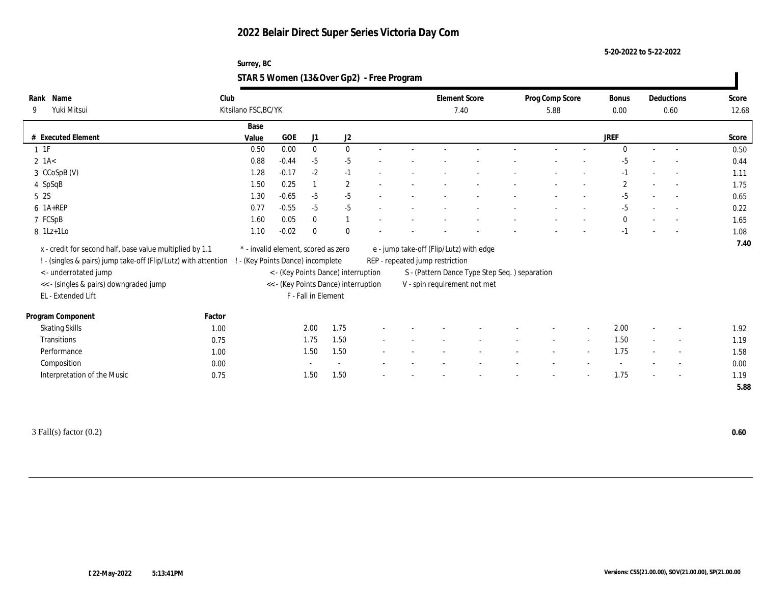**5-20-2022 to 5-22-2022**

## **Surrey, BC STAR 5 Women (13&Over Gp2) - Free Program**

| Rank     | Name                                                           | Club                              |                                     |                     |                                      |  |                                                | <b>Element Score</b> |  | Prog Comp Score |                          | Bonus        | Deductions               | Score |
|----------|----------------------------------------------------------------|-----------------------------------|-------------------------------------|---------------------|--------------------------------------|--|------------------------------------------------|----------------------|--|-----------------|--------------------------|--------------|--------------------------|-------|
| 9        | Yuki Mitsui                                                    | Kitsilano FSC, BC/YK              |                                     |                     |                                      |  |                                                | 7.40                 |  | 5.88            |                          | 0.00         | 0.60                     | 12.68 |
|          |                                                                | Base                              |                                     |                     |                                      |  |                                                |                      |  |                 |                          |              |                          |       |
|          | # Executed Element                                             | Value                             | GOE                                 | J1                  | $\mathrm{J}2$                        |  |                                                |                      |  |                 |                          | <b>JREF</b>  |                          | Score |
| $1 \t1F$ |                                                                | 0.50                              | 0.00                                | $\bf{0}$            | $\bf{0}$                             |  |                                                |                      |  |                 |                          | $\theta$     |                          | 0.50  |
|          | $2$ 1A $<$                                                     | 0.88                              | $-0.44$                             | $-5$                | $-5$                                 |  |                                                |                      |  |                 |                          | $-5$         |                          | 0.44  |
|          | 3 CCoSpB (V)                                                   | 1.28                              | $-0.17$                             | $-2$                | $-1$                                 |  |                                                |                      |  |                 |                          | $-1$         |                          | 1.11  |
|          | 4 SpSqB                                                        | 1.50                              | 0.25                                |                     | $\mathbf{2}$                         |  |                                                |                      |  |                 |                          | $\mathbf{2}$ |                          | 1.75  |
| 5 2S     |                                                                | 1.30                              | $-0.65$                             | $-5$                | $-5$                                 |  |                                                |                      |  |                 |                          | $-5$         | $\overline{\phantom{a}}$ | 0.65  |
|          | 6 1A+REP                                                       | 0.77                              | $-0.55$                             | $-5$                | $-5$                                 |  |                                                |                      |  |                 |                          | $-5$         | $\sim$                   | 0.22  |
|          | 7 FCSpB                                                        | 1.60                              | 0.05                                | $\mathbf{0}$        | 1                                    |  |                                                |                      |  |                 |                          | $\mathbf{0}$ |                          | 1.65  |
|          | 8 1Lz+1Lo                                                      | 1.10                              | $-0.02$                             | $\mathbf{0}$        | $\mathbf{0}$                         |  |                                                |                      |  |                 |                          | $-1$         |                          | 1.08  |
|          | x - credit for second half, base value multiplied by 1.1       |                                   | * - invalid element, scored as zero |                     |                                      |  | e - jump take-off (Flip/Lutz) with edge        |                      |  |                 |                          |              |                          | 7.40  |
|          | ! - (singles & pairs) jump take-off (Flip/Lutz) with attention | ! - (Key Points Dance) incomplete |                                     |                     |                                      |  | REP - repeated jump restriction                |                      |  |                 |                          |              |                          |       |
|          | <- underrotated jump                                           |                                   |                                     |                     | < - (Key Points Dance) interruption  |  | S - (Pattern Dance Type Step Seq. ) separation |                      |  |                 |                          |              |                          |       |
|          | << - (singles & pairs) downgraded jump                         |                                   |                                     |                     | << - (Key Points Dance) interruption |  | V - spin requirement not met                   |                      |  |                 |                          |              |                          |       |
|          | EL - Extended Lift                                             |                                   |                                     | F - Fall in Element |                                      |  |                                                |                      |  |                 |                          |              |                          |       |
|          |                                                                |                                   |                                     |                     |                                      |  |                                                |                      |  |                 |                          |              |                          |       |
|          | Program Component                                              | Factor                            |                                     |                     |                                      |  |                                                |                      |  |                 |                          |              |                          |       |
|          | <b>Skating Skills</b>                                          | 1.00                              |                                     | 2.00                | 1.75                                 |  |                                                |                      |  |                 |                          | 2.00         | $\overline{\phantom{a}}$ | 1.92  |
|          | Transitions                                                    | 0.75                              |                                     | 1.75                | 1.50                                 |  |                                                |                      |  |                 | $\overline{\phantom{a}}$ | 1.50         | $\overline{\phantom{a}}$ | 1.19  |
|          | Performance                                                    | 1.00                              |                                     | 1.50                | 1.50                                 |  |                                                |                      |  |                 |                          | 1.75         |                          | 1.58  |
|          | Composition                                                    | 0.00                              |                                     |                     |                                      |  |                                                |                      |  |                 |                          |              | $\overline{\phantom{a}}$ | 0.00  |
|          | Interpretation of the Music                                    | 0.75                              |                                     | 1.50                | 1.50                                 |  |                                                |                      |  |                 |                          | 1.75         | $\sim$                   | 1.19  |
|          |                                                                |                                   |                                     |                     |                                      |  |                                                |                      |  |                 |                          |              |                          | 5.88  |

3 Fall(s) factor (0.2) **0.60**

 $\mathbf{I}$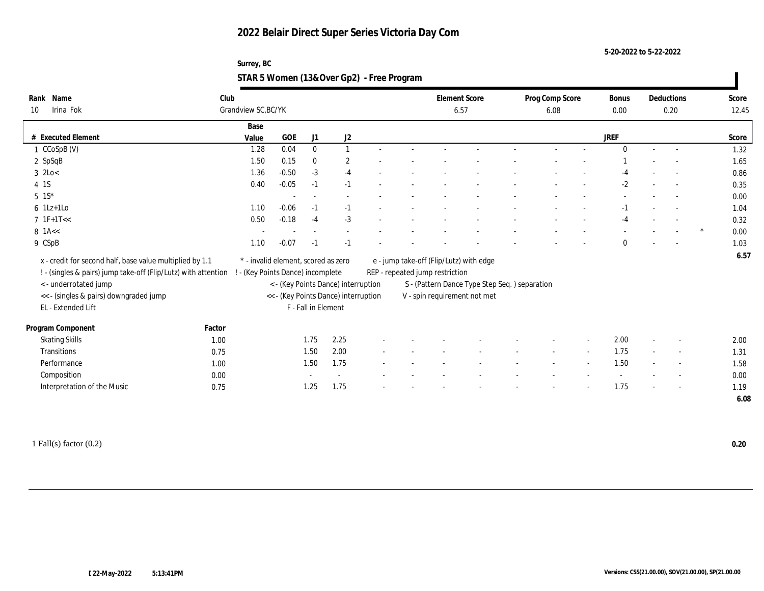**5-20-2022 to 5-22-2022**

## **Surrey, BC STAR 5 Women (13&Over Gp2) - Free Program**

| Name<br>Rank                                                   | Club   |                                     |            |                     |                                      |  |                                         | <b>Element Score</b>                           | Prog Comp Score |                          | Bonus       | Deductions               | Score     |
|----------------------------------------------------------------|--------|-------------------------------------|------------|---------------------|--------------------------------------|--|-----------------------------------------|------------------------------------------------|-----------------|--------------------------|-------------|--------------------------|-----------|
| Irina Fok<br>10                                                |        | Grandview SC, BC/YK                 |            |                     |                                      |  | 6.57                                    |                                                | 6.08            |                          | 0.00        | 0.20                     | 12.45     |
|                                                                |        | Base                                |            |                     |                                      |  |                                         |                                                |                 |                          |             |                          |           |
| # Executed Element                                             |        | Value                               | <b>GOE</b> | J1                  | J2                                   |  |                                         |                                                |                 |                          | <b>JREF</b> |                          | Score     |
| 1 CCoSpB (V)                                                   |        | 1.28                                | 0.04       | $\mathbf{0}$        |                                      |  |                                         |                                                |                 |                          | $\Omega$    | $\sim$                   | 1.32      |
| 2 SpSqB                                                        |        | 1.50                                | 0.15       | $\mathbf{0}$        | $\overline{2}$                       |  |                                         |                                                |                 |                          |             |                          | 1.65      |
| $3$ 2Lo $<$                                                    |        | 1.36                                | $-0.50$    | $-3$                | $-4$                                 |  |                                         |                                                |                 |                          | -4          |                          | 0.86      |
| 4 1S                                                           |        | 0.40                                | $-0.05$    | $-1$                | $-1$                                 |  |                                         |                                                |                 |                          | $-2$        |                          | 0.35      |
| $5 \t1S^*$                                                     |        |                                     |            |                     |                                      |  |                                         |                                                |                 |                          |             |                          | 0.00      |
| $6$ 1Lz+1Lo                                                    |        | 1.10                                | $-0.06$    | $-1$                | $-1$                                 |  |                                         |                                                |                 |                          | -1          |                          | 1.04      |
| $7 \text{ IF+1T} <$                                            |        | 0.50                                | $-0.18$    | $-4$                | $-3$                                 |  |                                         |                                                |                 |                          | $-4$        |                          | 0.32      |
| $8$ 1A $<<$                                                    |        |                                     |            |                     |                                      |  |                                         |                                                |                 |                          |             |                          | *<br>0.00 |
| 9 CSpB                                                         |        | 1.10                                | $-0.07$    | $-1$                | $-1$                                 |  |                                         |                                                |                 |                          | $\Omega$    |                          | 1.03      |
| x - credit for second half, base value multiplied by 1.1       |        | * - invalid element, scored as zero |            |                     |                                      |  | e - jump take-off (Flip/Lutz) with edge |                                                |                 |                          |             |                          | 6.57      |
| ! - (singles & pairs) jump take-off (Flip/Lutz) with attention |        | ! - (Key Points Dance) incomplete   |            |                     |                                      |  | REP - repeated jump restriction         |                                                |                 |                          |             |                          |           |
| <- underrotated jump                                           |        |                                     |            |                     | < - (Key Points Dance) interruption  |  |                                         | S - (Pattern Dance Type Step Seq. ) separation |                 |                          |             |                          |           |
| <<- (singles & pairs) downgraded jump                          |        |                                     |            |                     | << - (Key Points Dance) interruption |  | V - spin requirement not met            |                                                |                 |                          |             |                          |           |
| EL - Extended Lift                                             |        |                                     |            | F - Fall in Element |                                      |  |                                         |                                                |                 |                          |             |                          |           |
|                                                                |        |                                     |            |                     |                                      |  |                                         |                                                |                 |                          |             |                          |           |
| Program Component                                              | Factor |                                     |            |                     |                                      |  |                                         |                                                |                 |                          |             |                          |           |
| <b>Skating Skills</b>                                          | 1.00   |                                     |            | 1.75                | 2.25                                 |  |                                         |                                                |                 | $\overline{\phantom{a}}$ | 2.00        | $\overline{\phantom{a}}$ | 2.00      |
| Transitions                                                    | 0.75   |                                     |            | 1.50                | 2.00                                 |  |                                         |                                                |                 |                          | 1.75        | $\overline{\phantom{a}}$ | 1.31      |
| Performance                                                    | 1.00   |                                     |            | 1.50                | 1.75                                 |  |                                         |                                                |                 |                          | 1.50        | $\overline{\phantom{a}}$ | 1.58      |
| Composition                                                    | 0.00   |                                     |            |                     | $\sim$                               |  |                                         |                                                |                 |                          | $\sim$      | $\overline{\phantom{a}}$ | 0.00      |
| Interpretation of the Music                                    | 0.75   |                                     |            | 1.25                | 1.75                                 |  |                                         |                                                |                 |                          | 1.75        |                          | 1.19      |
|                                                                |        |                                     |            |                     |                                      |  |                                         |                                                |                 |                          |             |                          | 6.08      |

1 Fall(s) factor (0.2) **0.20**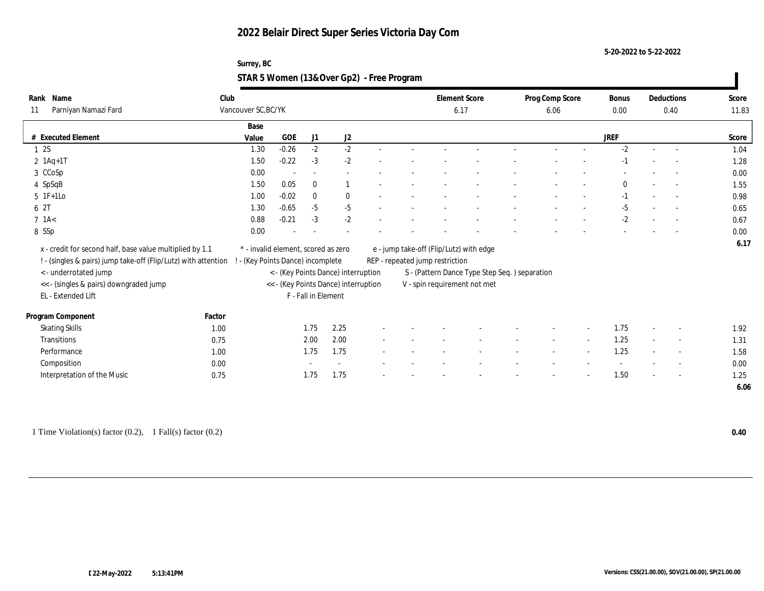**5-20-2022 to 5-22-2022**

## **Surrey, BC STAR 5 Women (13&Over Gp2) - Free Program**

|            | Rank Name                                                      | Club                            |                                     |                          |                                      |  |                                 | <b>Element Score</b>                          | Prog Comp Score |        | Bonus        |        | Deductions               | Score |
|------------|----------------------------------------------------------------|---------------------------------|-------------------------------------|--------------------------|--------------------------------------|--|---------------------------------|-----------------------------------------------|-----------------|--------|--------------|--------|--------------------------|-------|
| 11         | Parniyan Namazi Fard                                           | Vancouver SC, BC/YK             |                                     |                          |                                      |  |                                 | 6.17                                          | 6.06            |        | 0.00         |        | 0.40                     | 11.83 |
|            |                                                                | Base                            |                                     |                          |                                      |  |                                 |                                               |                 |        |              |        |                          |       |
|            | # Executed Element                                             | Value                           | <b>GOE</b>                          | J1                       | $\mathrm{J}2$                        |  |                                 |                                               |                 |        | <b>JREF</b>  |        |                          | Score |
| 12S        |                                                                | 1.30                            | $-0.26$                             | $-2$                     | $-2$                                 |  |                                 |                                               |                 |        | $-2$         |        |                          | 1.04  |
|            | $2 \ 1Aq+1T$                                                   | 1.50                            | $-0.22$                             | $-3$                     | $-2$                                 |  |                                 |                                               |                 |        | $-1$         |        |                          | 1.28  |
|            | 3 CCoSp                                                        | 0.00                            |                                     | $\overline{\phantom{a}}$ |                                      |  |                                 |                                               |                 |        |              |        |                          | 0.00  |
|            | 4 SpSqB                                                        | 1.50                            | 0.05                                | $\mathbf{0}$             | $\overline{1}$                       |  |                                 |                                               |                 |        | $\mathbf{0}$ |        |                          | 1.55  |
|            | $5$ 1F+1Lo                                                     | 1.00                            | $-0.02$                             | $\mathbf{0}$             | $\bf{0}$                             |  |                                 |                                               |                 |        | $-1$         |        | $\sim$                   | 0.98  |
| 6 2T       |                                                                | 1.30                            | $-0.65$                             | $-5$                     | $-5$                                 |  |                                 |                                               |                 |        | $-5$         |        | $\sim$                   | 0.65  |
| $7$ 1A $<$ |                                                                | 0.88                            | $-0.21$                             | $-3$                     | $-2$                                 |  |                                 |                                               |                 |        | $-2$         |        |                          | 0.67  |
| 8 SSp      |                                                                | 0.00                            |                                     |                          |                                      |  |                                 |                                               |                 |        |              |        |                          | 0.00  |
|            | x - credit for second half, base value multiplied by 1.1       |                                 | * - invalid element, scored as zero |                          |                                      |  |                                 | e - jump take-off (Flip/Lutz) with edge       |                 |        |              |        |                          | 6.17  |
|            | ! - (singles & pairs) jump take-off (Flip/Lutz) with attention | - (Key Points Dance) incomplete |                                     |                          |                                      |  | REP - repeated jump restriction |                                               |                 |        |              |        |                          |       |
|            | <- underrotated jump                                           |                                 |                                     |                          | < - (Key Points Dance) interruption  |  |                                 | S - (Pattern Dance Type Step Seq.) separation |                 |        |              |        |                          |       |
|            | << - (singles & pairs) downgraded jump                         |                                 |                                     |                          | << - (Key Points Dance) interruption |  |                                 | V - spin requirement not met                  |                 |        |              |        |                          |       |
|            | EL - Extended Lift                                             |                                 |                                     | F - Fall in Element      |                                      |  |                                 |                                               |                 |        |              |        |                          |       |
|            |                                                                |                                 |                                     |                          |                                      |  |                                 |                                               |                 |        |              |        |                          |       |
|            | Program Component                                              | Factor                          |                                     |                          |                                      |  |                                 |                                               |                 |        |              |        |                          |       |
|            | <b>Skating Skills</b>                                          | 1.00                            |                                     | 1.75                     | 2.25                                 |  |                                 |                                               |                 |        | 1.75         |        | $\overline{\phantom{a}}$ | 1.92  |
|            | Transitions                                                    | 0.75                            |                                     | 2.00                     | 2.00                                 |  |                                 |                                               | $\sim$          | $\sim$ | 1.25         | $\sim$ | $\sim$                   | 1.31  |
|            | Performance                                                    | 1.00                            |                                     | 1.75                     | 1.75                                 |  |                                 |                                               |                 |        | 1.25         |        | $\sim$                   | 1.58  |
|            | Composition                                                    | 0.00                            |                                     |                          |                                      |  |                                 |                                               |                 |        |              |        | $\overline{\phantom{a}}$ | 0.00  |
|            | Interpretation of the Music                                    | 0.75                            |                                     | 1.75                     | 1.75                                 |  |                                 |                                               |                 |        | 1.50         |        | $\sim$                   | 1.25  |
|            |                                                                |                                 |                                     |                          |                                      |  |                                 |                                               |                 |        |              |        |                          | 6.06  |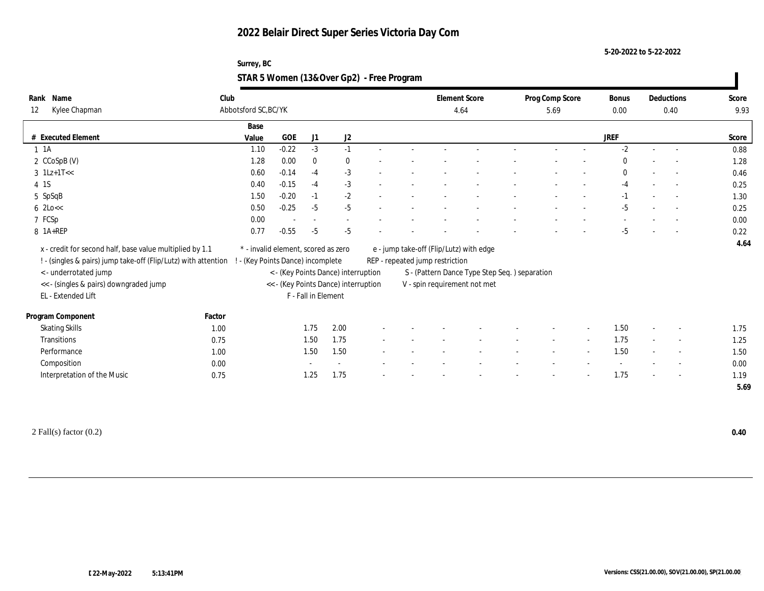**5-20-2022 to 5-22-2022**

## **Surrey, BC STAR 5 Women (13&Over Gp2) - Free Program**

| Rank Name<br>Kylee Chapman<br>12                               | Club   | Abbotsford SC, BC/YK                |         |                     |                                      |  |                                 | <b>Element Score</b><br>4.64                   | Prog Comp Score<br>5.69 |        | Bonus<br>0.00 |        | Deductions<br>0.40       | Score<br>9.93 |
|----------------------------------------------------------------|--------|-------------------------------------|---------|---------------------|--------------------------------------|--|---------------------------------|------------------------------------------------|-------------------------|--------|---------------|--------|--------------------------|---------------|
|                                                                |        | Base                                |         |                     |                                      |  |                                 |                                                |                         |        |               |        |                          |               |
| # Executed Element                                             |        | Value                               | GOE     | J1                  | $\mathrm{J}2$                        |  |                                 |                                                |                         |        | <b>JREF</b>   |        |                          | Score         |
| $1 \t1A$                                                       |        | 1.10                                | $-0.22$ | $-3$                | $-1$                                 |  |                                 |                                                |                         |        | $-2$          |        |                          | 0.88          |
| 2 CCoSpB (V)                                                   |        | 1.28                                | 0.00    | $\mathbf{0}$        | $\bf{0}$                             |  |                                 |                                                |                         |        | $\mathbf{0}$  |        |                          | 1.28          |
| $3 \text{ } 1 \text{Lz+1T} <<$                                 |        | 0.60                                | $-0.14$ | $-4$                | $-3$                                 |  |                                 |                                                |                         |        | $\mathbf{0}$  |        |                          | 0.46          |
| 4 1 S                                                          |        | 0.40                                | $-0.15$ | $-4$                | $-3$                                 |  |                                 |                                                |                         |        | -4            |        |                          | 0.25          |
| 5 SpSqB                                                        |        | 1.50                                | $-0.20$ | $-1$                | $-2$                                 |  |                                 |                                                |                         |        | $-1$          |        | $\sim$                   | 1.30          |
| $6$ 2Lo $<<$                                                   |        | 0.50                                | $-0.25$ | $-5$                | $-5$                                 |  |                                 |                                                |                         |        | $-5$          |        | $\sim$                   | 0.25          |
| 7 FCSp                                                         |        | 0.00                                |         |                     | $\sim$                               |  |                                 |                                                |                         |        |               |        |                          | 0.00          |
| 8 1A+REP                                                       |        | 0.77                                | $-0.55$ | $-5$                | $-5$                                 |  |                                 |                                                |                         |        | $-5$          |        |                          | 0.22          |
| x - credit for second half, base value multiplied by 1.1       |        | * - invalid element, scored as zero |         |                     |                                      |  |                                 | e - jump take-off (Flip/Lutz) with edge        |                         |        |               |        |                          | 4.64          |
| ! - (singles & pairs) jump take-off (Flip/Lutz) with attention |        | ! - (Key Points Dance) incomplete   |         |                     |                                      |  | REP - repeated jump restriction |                                                |                         |        |               |        |                          |               |
| < - underrotated jump                                          |        |                                     |         |                     | < - (Key Points Dance) interruption  |  |                                 | S - (Pattern Dance Type Step Seq. ) separation |                         |        |               |        |                          |               |
| << - (singles & pairs) downgraded jump                         |        |                                     |         |                     | << - (Key Points Dance) interruption |  |                                 | V - spin requirement not met                   |                         |        |               |        |                          |               |
| EL - Extended Lift                                             |        |                                     |         | F - Fall in Element |                                      |  |                                 |                                                |                         |        |               |        |                          |               |
|                                                                |        |                                     |         |                     |                                      |  |                                 |                                                |                         |        |               |        |                          |               |
| Program Component                                              | Factor |                                     |         |                     |                                      |  |                                 |                                                |                         |        |               |        |                          |               |
| <b>Skating Skills</b>                                          | 1.00   |                                     |         | 1.75                | 2.00                                 |  |                                 |                                                |                         |        | 1.50          |        | $\overline{\phantom{a}}$ | 1.75          |
| Transitions                                                    | 0.75   |                                     |         | 1.50                | 1.75                                 |  |                                 |                                                | $\sim$                  | $\sim$ | 1.75          | $\sim$ | $\sim$                   | 1.25          |
| Performance                                                    | 1.00   |                                     |         | 1.50                | 1.50                                 |  |                                 |                                                |                         |        | 1.50          |        | $\overline{\phantom{a}}$ | 1.50          |
| Composition                                                    | 0.00   |                                     |         |                     |                                      |  |                                 |                                                |                         |        |               |        |                          | 0.00          |
| Interpretation of the Music                                    | 0.75   |                                     |         | 1.25                | 1.75                                 |  |                                 |                                                |                         |        | 1.75          |        | $\overline{\phantom{a}}$ | 1.19          |
|                                                                |        |                                     |         |                     |                                      |  |                                 |                                                |                         |        |               |        |                          | 5.69          |

2 Fall(s) factor (0.2) **0.40**